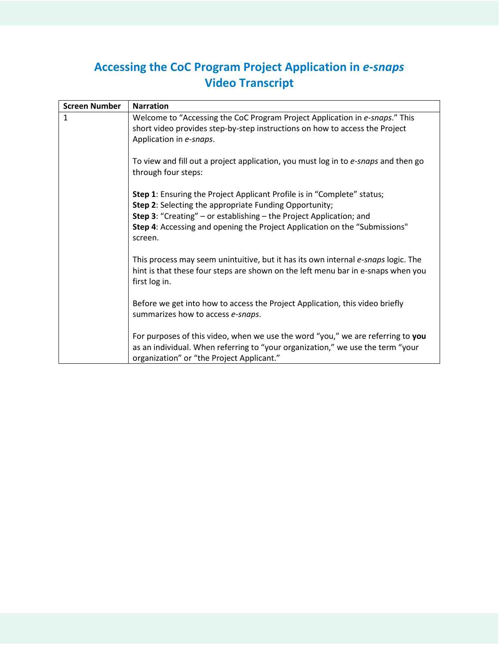## **Accessing the CoC Program Project Application in** *e-snaps* **Video Transcript**

| <b>Screen Number</b> | <b>Narration</b>                                                                                                                                                                                                                                                                                                       |
|----------------------|------------------------------------------------------------------------------------------------------------------------------------------------------------------------------------------------------------------------------------------------------------------------------------------------------------------------|
| $\mathbf{1}$         | Welcome to "Accessing the CoC Program Project Application in e-snaps." This<br>short video provides step-by-step instructions on how to access the Project<br>Application in e-snaps.                                                                                                                                  |
|                      | To view and fill out a project application, you must log in to e-snaps and then go<br>through four steps:                                                                                                                                                                                                              |
|                      | <b>Step 1:</b> Ensuring the Project Applicant Profile is in "Complete" status;<br>Step 2: Selecting the appropriate Funding Opportunity;<br><b>Step 3:</b> "Creating" – or establishing – the Project Application; and<br><b>Step 4:</b> Accessing and opening the Project Application on the "Submissions"<br>screen. |
|                      | This process may seem unintuitive, but it has its own internal e-snaps logic. The<br>hint is that these four steps are shown on the left menu bar in e-snaps when you<br>first log in.                                                                                                                                 |
|                      | Before we get into how to access the Project Application, this video briefly<br>summarizes how to access e-snaps.                                                                                                                                                                                                      |
|                      | For purposes of this video, when we use the word "you," we are referring to you<br>as an individual. When referring to "your organization," we use the term "your<br>organization" or "the Project Applicant."                                                                                                         |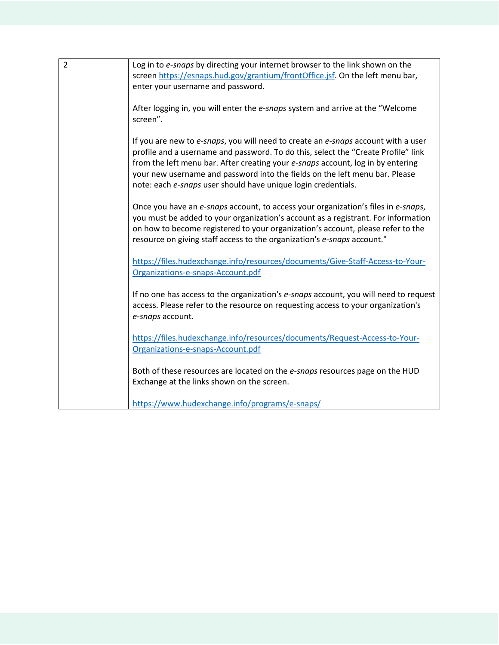| $\overline{2}$ | Log in to e-snaps by directing your internet browser to the link shown on the        |
|----------------|--------------------------------------------------------------------------------------|
|                | screen https://esnaps.hud.gov/grantium/frontOffice.jsf. On the left menu bar,        |
|                | enter your username and password.                                                    |
|                |                                                                                      |
|                |                                                                                      |
|                | After logging in, you will enter the e-snaps system and arrive at the "Welcome       |
|                | screen".                                                                             |
|                |                                                                                      |
|                | If you are new to e-snaps, you will need to create an e-snaps account with a user    |
|                | profile and a username and password. To do this, select the "Create Profile" link    |
|                | from the left menu bar. After creating your e-snaps account, log in by entering      |
|                | your new username and password into the fields on the left menu bar. Please          |
|                | note: each e-snaps user should have unique login credentials.                        |
|                |                                                                                      |
|                | Once you have an e-snaps account, to access your organization's files in e-snaps,    |
|                | you must be added to your organization's account as a registrant. For information    |
|                | on how to become registered to your organization's account, please refer to the      |
|                | resource on giving staff access to the organization's e-snaps account."              |
|                |                                                                                      |
|                | https://files.hudexchange.info/resources/documents/Give-Staff-Access-to-Your-        |
|                | Organizations-e-snaps-Account.pdf                                                    |
|                |                                                                                      |
|                | If no one has access to the organization's e-snaps account, you will need to request |
|                |                                                                                      |
|                | access. Please refer to the resource on requesting access to your organization's     |
|                | e-snaps account.                                                                     |
|                |                                                                                      |
|                | https://files.hudexchange.info/resources/documents/Request-Access-to-Your-           |
|                | Organizations-e-snaps-Account.pdf                                                    |
|                |                                                                                      |
|                | Both of these resources are located on the e-snaps resources page on the HUD         |
|                | Exchange at the links shown on the screen.                                           |
|                |                                                                                      |
|                | https://www.hudexchange.info/programs/e-snaps/                                       |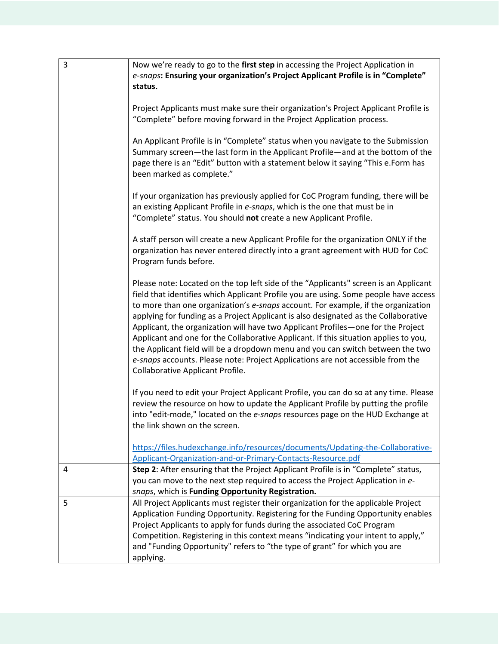| 3 | Now we're ready to go to the first step in accessing the Project Application in                                                                                                                                                                                                                                                                                                                                                                                                                                                                                                                                                                                                                                                               |
|---|-----------------------------------------------------------------------------------------------------------------------------------------------------------------------------------------------------------------------------------------------------------------------------------------------------------------------------------------------------------------------------------------------------------------------------------------------------------------------------------------------------------------------------------------------------------------------------------------------------------------------------------------------------------------------------------------------------------------------------------------------|
|   | e-snaps: Ensuring your organization's Project Applicant Profile is in "Complete"                                                                                                                                                                                                                                                                                                                                                                                                                                                                                                                                                                                                                                                              |
|   | status.                                                                                                                                                                                                                                                                                                                                                                                                                                                                                                                                                                                                                                                                                                                                       |
|   | Project Applicants must make sure their organization's Project Applicant Profile is<br>"Complete" before moving forward in the Project Application process.                                                                                                                                                                                                                                                                                                                                                                                                                                                                                                                                                                                   |
|   | An Applicant Profile is in "Complete" status when you navigate to the Submission<br>Summary screen-the last form in the Applicant Profile-and at the bottom of the<br>page there is an "Edit" button with a statement below it saying "This e.Form has<br>been marked as complete."                                                                                                                                                                                                                                                                                                                                                                                                                                                           |
|   | If your organization has previously applied for CoC Program funding, there will be<br>an existing Applicant Profile in e-snaps, which is the one that must be in<br>"Complete" status. You should not create a new Applicant Profile.                                                                                                                                                                                                                                                                                                                                                                                                                                                                                                         |
|   | A staff person will create a new Applicant Profile for the organization ONLY if the<br>organization has never entered directly into a grant agreement with HUD for CoC<br>Program funds before.                                                                                                                                                                                                                                                                                                                                                                                                                                                                                                                                               |
|   | Please note: Located on the top left side of the "Applicants" screen is an Applicant<br>field that identifies which Applicant Profile you are using. Some people have access<br>to more than one organization's e-snaps account. For example, if the organization<br>applying for funding as a Project Applicant is also designated as the Collaborative<br>Applicant, the organization will have two Applicant Profiles-one for the Project<br>Applicant and one for the Collaborative Applicant. If this situation applies to you,<br>the Applicant field will be a dropdown menu and you can switch between the two<br>e-snaps accounts. Please note: Project Applications are not accessible from the<br>Collaborative Applicant Profile. |
|   | If you need to edit your Project Applicant Profile, you can do so at any time. Please<br>review the resource on how to update the Applicant Profile by putting the profile<br>into "edit-mode," located on the e-snaps resources page on the HUD Exchange at<br>the link shown on the screen.                                                                                                                                                                                                                                                                                                                                                                                                                                                 |
|   | https://files.hudexchange.info/resources/documents/Updating-the-Collaborative-<br>Applicant-Organization-and-or-Primary-Contacts-Resource.pdf                                                                                                                                                                                                                                                                                                                                                                                                                                                                                                                                                                                                 |
| 4 | Step 2: After ensuring that the Project Applicant Profile is in "Complete" status,<br>you can move to the next step required to access the Project Application in e-<br>snaps, which is Funding Opportunity Registration.                                                                                                                                                                                                                                                                                                                                                                                                                                                                                                                     |
| 5 | All Project Applicants must register their organization for the applicable Project<br>Application Funding Opportunity. Registering for the Funding Opportunity enables<br>Project Applicants to apply for funds during the associated CoC Program<br>Competition. Registering in this context means "indicating your intent to apply,"<br>and "Funding Opportunity" refers to "the type of grant" for which you are<br>applying.                                                                                                                                                                                                                                                                                                              |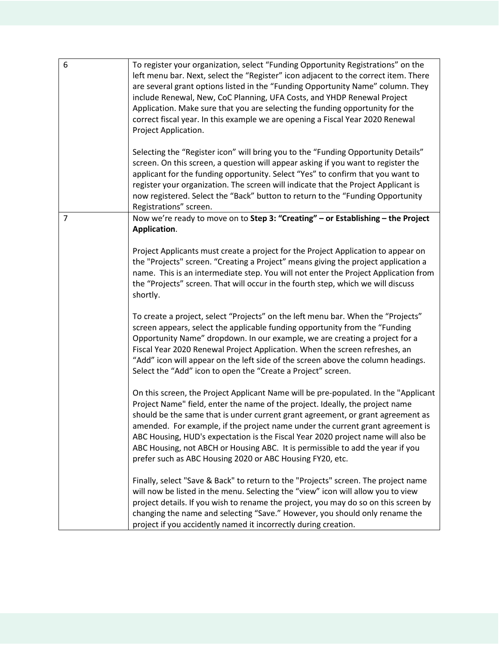| 6              | To register your organization, select "Funding Opportunity Registrations" on the<br>left menu bar. Next, select the "Register" icon adjacent to the correct item. There<br>are several grant options listed in the "Funding Opportunity Name" column. They<br>include Renewal, New, CoC Planning, UFA Costs, and YHDP Renewal Project<br>Application. Make sure that you are selecting the funding opportunity for the<br>correct fiscal year. In this example we are opening a Fiscal Year 2020 Renewal<br>Project Application.                                             |
|----------------|------------------------------------------------------------------------------------------------------------------------------------------------------------------------------------------------------------------------------------------------------------------------------------------------------------------------------------------------------------------------------------------------------------------------------------------------------------------------------------------------------------------------------------------------------------------------------|
|                | Selecting the "Register icon" will bring you to the "Funding Opportunity Details"<br>screen. On this screen, a question will appear asking if you want to register the<br>applicant for the funding opportunity. Select "Yes" to confirm that you want to<br>register your organization. The screen will indicate that the Project Applicant is<br>now registered. Select the "Back" button to return to the "Funding Opportunity<br>Registrations" screen.                                                                                                                  |
| $\overline{7}$ | Now we're ready to move on to Step 3: "Creating" - or Establishing - the Project<br>Application.                                                                                                                                                                                                                                                                                                                                                                                                                                                                             |
|                | Project Applicants must create a project for the Project Application to appear on<br>the "Projects" screen. "Creating a Project" means giving the project application a<br>name. This is an intermediate step. You will not enter the Project Application from<br>the "Projects" screen. That will occur in the fourth step, which we will discuss<br>shortly.                                                                                                                                                                                                               |
|                | To create a project, select "Projects" on the left menu bar. When the "Projects"<br>screen appears, select the applicable funding opportunity from the "Funding<br>Opportunity Name" dropdown. In our example, we are creating a project for a<br>Fiscal Year 2020 Renewal Project Application. When the screen refreshes, an<br>"Add" icon will appear on the left side of the screen above the column headings.<br>Select the "Add" icon to open the "Create a Project" screen.                                                                                            |
|                | On this screen, the Project Applicant Name will be pre-populated. In the "Applicant<br>Project Name" field, enter the name of the project. Ideally, the project name<br>should be the same that is under current grant agreement, or grant agreement as<br>amended. For example, if the project name under the current grant agreement is<br>ABC Housing, HUD's expectation is the Fiscal Year 2020 project name will also be<br>ABC Housing, not ABCH or Housing ABC. It is permissible to add the year if you<br>prefer such as ABC Housing 2020 or ABC Housing FY20, etc. |
|                | Finally, select "Save & Back" to return to the "Projects" screen. The project name<br>will now be listed in the menu. Selecting the "view" icon will allow you to view<br>project details. If you wish to rename the project, you may do so on this screen by<br>changing the name and selecting "Save." However, you should only rename the<br>project if you accidently named it incorrectly during creation.                                                                                                                                                              |